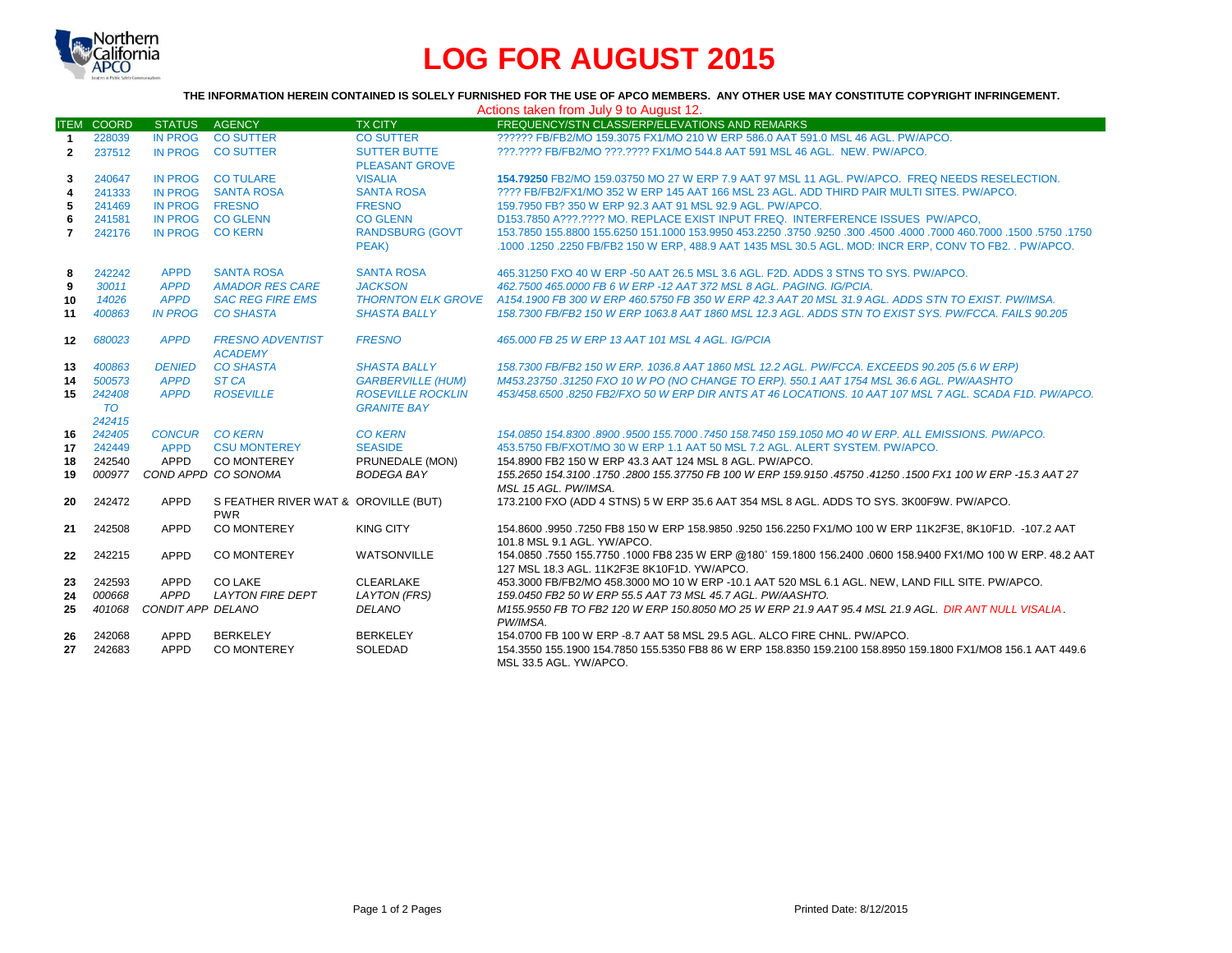

# **LOG FOR AUGUST 2015**

#### **THE INFORMATION HEREIN CONTAINED IS SOLELY FURNISHED FOR THE USE OF APCO MEMBERS. ANY OTHER USE MAY CONSTITUTE COPYRIGHT INFRINGEMENT.**

| Actions taken from July 9 to August 12. |                     |                   |                                                    |                                                |                                                                                                                                        |  |  |  |
|-----------------------------------------|---------------------|-------------------|----------------------------------------------------|------------------------------------------------|----------------------------------------------------------------------------------------------------------------------------------------|--|--|--|
|                                         | <b>ITEM COORD</b>   | <b>STATUS</b>     | <b>AGENCY</b>                                      | <b>TX CITY</b>                                 | FREQUENCY/STN CLASS/ERP/ELEVATIONS AND REMARKS                                                                                         |  |  |  |
| $\overline{1}$                          | 228039              | <b>IN PROG</b>    | <b>CO SUTTER</b>                                   | <b>CO SUTTER</b>                               | ?????? FB/FB2/MO 159.3075 FX1/MO 210 W ERP 586.0 AAT 591.0 MSL 46 AGL, PW/APCO.                                                        |  |  |  |
| $\mathbf{2}$                            | 237512              |                   | IN PROG CO SUTTER                                  | <b>SUTTER BUTTE</b>                            | ???.???? FB/FB2/MO ???.???? FX1/MO 544.8 AAT 591 MSL 46 AGL. NEW. PW/APCO.                                                             |  |  |  |
|                                         |                     |                   |                                                    | <b>PLEASANT GROVE</b>                          |                                                                                                                                        |  |  |  |
| 3                                       | 240647              |                   | IN PROG CO TULARE                                  | <b>VISALIA</b>                                 | 154.79250 FB2/MO 159.03750 MO 27 W ERP 7.9 AAT 97 MSL 11 AGL, PW/APCO. FREQ NEEDS RESELECTION.                                         |  |  |  |
| 4                                       | 241333              |                   | IN PROG SANTA ROSA                                 | <b>SANTA ROSA</b>                              | ???? FB/FB2/FX1/MO 352 W ERP 145 AAT 166 MSL 23 AGL. ADD THIRD PAIR MULTI SITES, PW/APCO,                                              |  |  |  |
| 5                                       | 241469              | IN PROG FRESNO    |                                                    | <b>FRESNO</b>                                  | 159.7950 FB? 350 W ERP 92.3 AAT 91 MSL 92.9 AGL, PW/APCO.                                                                              |  |  |  |
| 6                                       | 241581              |                   | IN PROG CO GLENN                                   | <b>CO GLENN</b>                                | D153.7850 A???.???? MO. REPLACE EXIST INPUT FREQ. INTERFERENCE ISSUES PW/APCO.                                                         |  |  |  |
| $\overline{7}$                          | 242176              | IN PROG CO KERN   |                                                    | <b>RANDSBURG (GOVT</b>                         | 1750, 1750, 1500, 1600, 1000 160, 1000, 1600, 1600, 1750, 1750, 1750, 150, 150, 150, 151, 162, 155, 1560 155, 1560                     |  |  |  |
|                                         |                     |                   |                                                    | PEAK)                                          | .1000 .1250 .2250 FB/FB2 150 W ERP. 488.9 AAT 1435 MSL 30.5 AGL. MOD: INCR ERP. CONV TO FB2. . PW/APCO.                                |  |  |  |
| 8                                       | 242242              | <b>APPD</b>       | <b>SANTA ROSA</b>                                  | <b>SANTA ROSA</b>                              | 465,31250 FXO 40 W ERP -50 AAT 26.5 MSL 3.6 AGL, F2D, ADDS 3 STNS TO SYS, PW/APCO.                                                     |  |  |  |
| 9                                       | 30011               | <b>APPD</b>       | <b>AMADOR RES CARE</b>                             | <b>JACKSON</b>                                 | 462.7500 465.0000 FB 6 W ERP -12 AAT 372 MSL 8 AGL. PAGING. IG/PCIA.                                                                   |  |  |  |
| 10                                      | 14026               | <b>APPD</b>       | <b>SAC REG FIRE EMS</b>                            |                                                | THORNTON ELK GROVE A154.1900 FB 300 W ERP 460.5750 FB 350 W ERP 42.3 AAT 20 MSL 31.9 AGL. ADDS STN TO EXIST. PW/IMSA.                  |  |  |  |
| 11                                      | 400863              | <b>IN PROG</b>    | <b>CO SHASTA</b>                                   | <b>SHASTA BALLY</b>                            | 158.7300 FB/FB2 150 W ERP 1063.8 AAT 1860 MSL 12.3 AGL. ADDS STN TO EXIST SYS. PW/FCCA. FAILS 90.205                                   |  |  |  |
| 12 <sup>12</sup>                        | 680023              | <b>APPD</b>       | <b>FRESNO ADVENTIST</b><br><b>ACADEMY</b>          | <b>FRESNO</b>                                  | 465,000 FB 25 W ERP 13 AAT 101 MSL 4 AGL, IG/PCIA                                                                                      |  |  |  |
| 13                                      | 400863              | <b>DENIED</b>     | <b>CO SHASTA</b>                                   | <b>SHASTA BALLY</b>                            | 158.7300 FB/FB2 150 W ERP, 1036.8 AAT 1860 MSL 12.2 AGL, PW/FCCA, EXCEEDS 90.205 (5.6 W ERP)                                           |  |  |  |
| 14                                      | 500573              | <b>APPD</b>       | ST <sub>CA</sub>                                   | <b>GARBERVILLE (HUM)</b>                       | M453.23750 .31250 FXO 10 W PO (NO CHANGE TO ERP). 550.1 AAT 1754 MSL 36.6 AGL. PW/AASHTO                                               |  |  |  |
| 15                                      | 242408<br><b>TO</b> | <b>APPD</b>       | <b>ROSEVILLE</b>                                   | <b>ROSEVILLE ROCKLIN</b><br><b>GRANITE BAY</b> | 453/458.6500.8250 FB2/FXO 50 W ERP DIR ANTS AT 46 LOCATIONS. 10 AAT 107 MSL 7 AGL. SCADA F1D, PW/APCO,                                 |  |  |  |
|                                         | 242415              |                   |                                                    |                                                |                                                                                                                                        |  |  |  |
| 16                                      | 242405              | <b>CONCUR</b>     | <b>CO KERN</b>                                     | <b>CO KERN</b>                                 | 154.0850 154.8300 .8900 .9500 155.7000 .7450 158.7450 159.1050 MO 40 W ERP. ALL EMISSIONS. PW/APCO.                                    |  |  |  |
| 17                                      | 242449              | <b>APPD</b>       | <b>CSU MONTEREY</b>                                | <b>SEASIDE</b>                                 | 453,5750 FB/FXOT/MO 30 W ERP 1.1 AAT 50 MSL 7.2 AGL. ALERT SYSTEM, PW/APCO.                                                            |  |  |  |
| 18                                      | 242540              | APPD              | CO MONTEREY                                        | PRUNEDALE (MON)                                | 154.8900 FB2 150 W ERP 43.3 AAT 124 MSL 8 AGL, PW/APCO.                                                                                |  |  |  |
| 19                                      | 000977              |                   | COND APPD CO SONOMA                                | <b>BODEGA BAY</b>                              | 155.2650 154.3100 .1750 .2800 155.37750 FB 100 W ERP 159.9150 .45750 .41250 .1500 FX1 100 W ERP -15.3 AAT 27                           |  |  |  |
|                                         |                     |                   |                                                    |                                                | MSL 15 AGL. PW/IMSA.                                                                                                                   |  |  |  |
| 20                                      | 242472              | APPD              | S FEATHER RIVER WAT & OROVILLE (BUT)<br><b>PWR</b> |                                                | 173.2100 FXO (ADD 4 STNS) 5 W ERP 35.6 AAT 354 MSL 8 AGL. ADDS TO SYS. 3K00F9W. PW/APCO.                                               |  |  |  |
| 21                                      | 242508              | APPD              | CO MONTEREY                                        | <b>KING CITY</b>                               | 154.8600 .9950 .7250 FB8 150 W ERP 158.9850 .9250 156.2250 FX1/MO 100 W ERP 11K2F3E. 8K10F1D. -107.2 AAT                               |  |  |  |
|                                         |                     |                   |                                                    |                                                | 101.8 MSL 9.1 AGL. YW/APCO.                                                                                                            |  |  |  |
| 22                                      | 242215              | <b>APPD</b>       | <b>CO MONTEREY</b>                                 | WATSONVILLE                                    | 154.0850 .7550 155.7750 .1000 FB8 235 W ERP @180° 159.1800 156.2400 .0600 158.9400 FX1/MO 100 W ERP. 48.2 AAT                          |  |  |  |
|                                         |                     |                   |                                                    |                                                | 127 MSL 18.3 AGL, 11K2F3E 8K10F1D, YW/APCO,                                                                                            |  |  |  |
| 23                                      | 242593              | APPD              | CO LAKE                                            | <b>CLEARLAKE</b>                               | 453.3000 FB/FB2/MO 458.3000 MO 10 W ERP -10.1 AAT 520 MSL 6.1 AGL. NEW, LAND FILL SITE. PW/APCO.                                       |  |  |  |
| 24                                      | 000668              | <b>APPD</b>       | <b>LAYTON FIRE DEPT</b>                            | <b>LAYTON (FRS)</b>                            | 159.0450 FB2 50 W ERP 55.5 AAT 73 MSL 45.7 AGL, PW/AASHTO.                                                                             |  |  |  |
| 25                                      | 401068              | CONDIT APP DELANO |                                                    | <b>DELANO</b>                                  | M155.9550 FB TO FB2 120 W ERP 150.8050 MO 25 W ERP 21.9 AAT 95.4 MSL 21.9 AGL. DIR ANT NULL VISALIA<br>PW/IMSA.                        |  |  |  |
| 26                                      | 242068              | APPD              | <b>BERKELEY</b>                                    | <b>BERKELEY</b>                                | 154,0700 FB 100 W ERP -8.7 AAT 58 MSL 29.5 AGL. ALCO FIRE CHNL. PW/APCO.                                                               |  |  |  |
| 27                                      | 242683              | APPD              | <b>CO MONTEREY</b>                                 | SOLEDAD                                        | 154,3550 155,1900 154,7850 155,5350 FB8 86 W ERP 158,8350 159,2100 158,8950 159,1800 FX1/MO8 156,1 AAT 449.6<br>MSL 33.5 AGL, YW/APCO. |  |  |  |